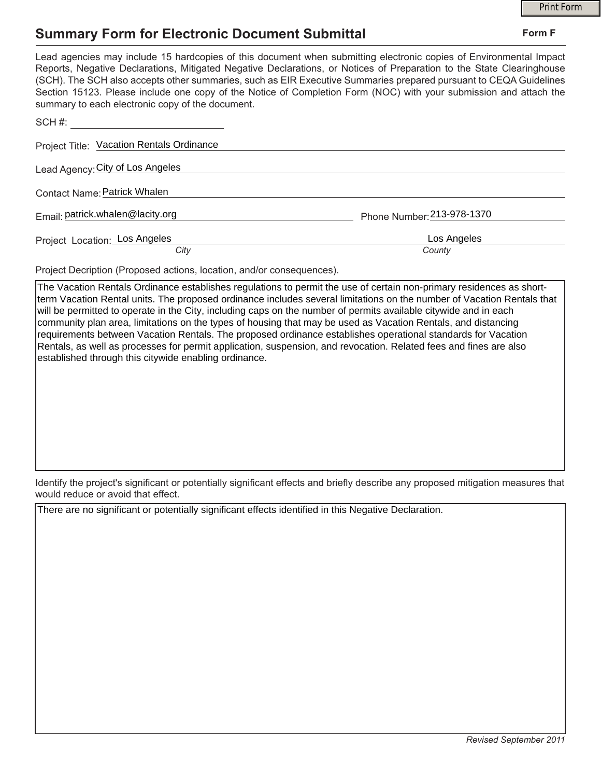## **Summary Form for Electronic Document Submittal**

|                                                                                                                                                                                                                                                                                                                                                                                                                                                                                                                                           |                            | <b>Print Form</b> |
|-------------------------------------------------------------------------------------------------------------------------------------------------------------------------------------------------------------------------------------------------------------------------------------------------------------------------------------------------------------------------------------------------------------------------------------------------------------------------------------------------------------------------------------------|----------------------------|-------------------|
| <b>Summary Form for Electronic Document Submittal</b>                                                                                                                                                                                                                                                                                                                                                                                                                                                                                     |                            | Form F            |
| Lead agencies may include 15 hardcopies of this document when submitting electronic copies of Environmental Impact<br>Reports, Negative Declarations, Mitigated Negative Declarations, or Notices of Preparation to the State Clearinghouse<br>(SCH). The SCH also accepts other summaries, such as EIR Executive Summaries prepared pursuant to CEQA Guidelines<br>Section 15123. Please include one copy of the Notice of Completion Form (NOC) with your submission and attach the<br>summary to each electronic copy of the document. |                            |                   |
| $SCH \#$                                                                                                                                                                                                                                                                                                                                                                                                                                                                                                                                  |                            |                   |
| Project Title: Vacation Rentals Ordinance                                                                                                                                                                                                                                                                                                                                                                                                                                                                                                 |                            |                   |
| Lead Agency: City of Los Angeles                                                                                                                                                                                                                                                                                                                                                                                                                                                                                                          |                            |                   |
| Contact Name: Patrick Whalen                                                                                                                                                                                                                                                                                                                                                                                                                                                                                                              |                            |                   |
| Email: patrick.whalen@lacity.org                                                                                                                                                                                                                                                                                                                                                                                                                                                                                                          | Phone Number: 213-978-1370 |                   |
| Project Location: Los Angeles<br>City                                                                                                                                                                                                                                                                                                                                                                                                                                                                                                     | Los Angeles<br>County      |                   |

Project Decription (Proposed actions, location, and/or consequences).

The Vacation Rentals Ordinance establishes regulations to permit the use of certain non-primary residences as shortterm Vacation Rental units. The proposed ordinance includes several limitations on the number of Vacation Rentals that will be permitted to operate in the City, including caps on the number of permits available citywide and in each community plan area, limitations on the types of housing that may be used as Vacation Rentals, and distancing requirements between Vacation Rentals. The proposed ordinance establishes operational standards for Vacation Rentals, as well as processes for permit application, suspension, and revocation. Related fees and fines are also established through this citywide enabling ordinance.

Identify the project's significant or potentially significant effects and briefly describe any proposed mitigation measures that would reduce or avoid that effect.

There are no significant or potentially significant effects identified in this Negative Declaration.